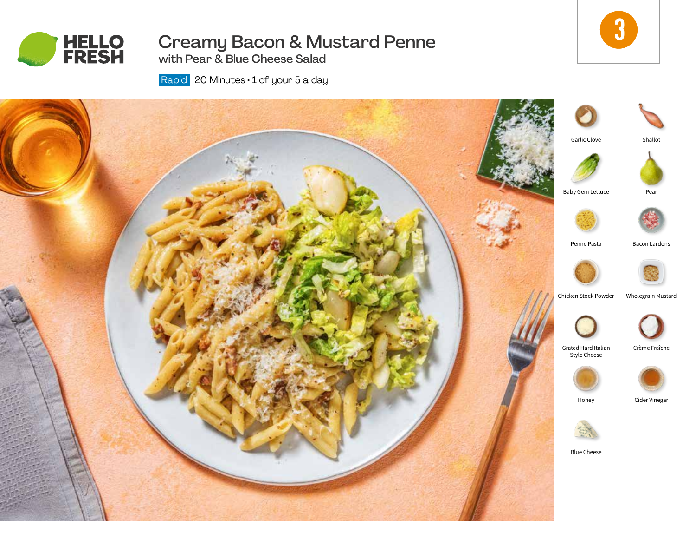

# Creamy Bacon & Mustard Penne

3

with Pear & Blue Cheese Salad

Rapid 20 Minutes · 1 of your 5 a day